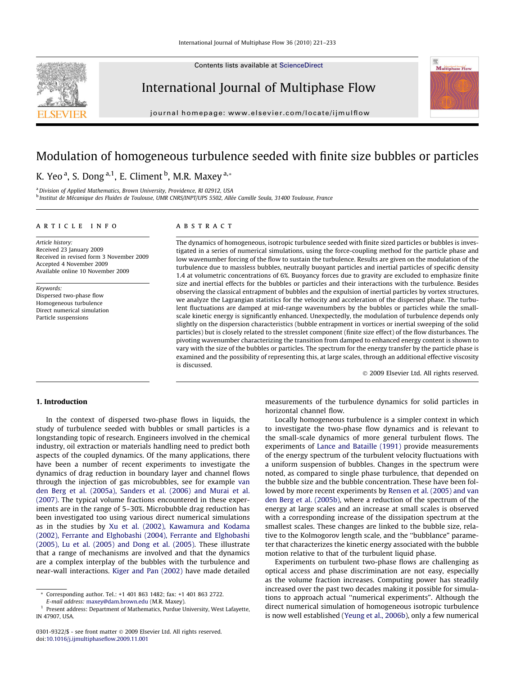Contents lists available at [ScienceDirect](http://www.sciencedirect.com/science/journal/03019322)



International Journal of Multiphase Flow

journal homepage: [www.elsevier.com/locate/ijmulflow](http://www.elsevier.com/locate/ijmulflow)

# Modulation of homogeneous turbulence seeded with finite size bubbles or particles

# K. Yeo <sup>a</sup>, S. Dong <sup>a,1</sup>, E. Climent <sup>b</sup>, M.R. Maxey <sup>a,</sup>\*

a Division of Applied Mathematics, Brown University, Providence, RI 02912, USA <sup>b</sup> Institut de Mécanique des Fluides de Toulouse, UMR CNRS/INPT/UPS 5502, Allée Camille Soula, 31400 Toulouse, France

# article info

Article history: Received 23 January 2009 Received in revised form 3 November 2009 Accepted 4 November 2009 Available online 10 November 2009

Keywords: Dispersed two-phase flow Homogeneous turbulence Direct numerical simulation Particle suspensions

# **ABSTRACT**

The dynamics of homogeneous, isotropic turbulence seeded with finite sized particles or bubbles is investigated in a series of numerical simulations, using the force-coupling method for the particle phase and low wavenumber forcing of the flow to sustain the turbulence. Results are given on the modulation of the turbulence due to massless bubbles, neutrally buoyant particles and inertial particles of specific density 1.4 at volumetric concentrations of 6%. Buoyancy forces due to gravity are excluded to emphasize finite size and inertial effects for the bubbles or particles and their interactions with the turbulence. Besides observing the classical entrapment of bubbles and the expulsion of inertial particles by vortex structures, we analyze the Lagrangian statistics for the velocity and acceleration of the dispersed phase. The turbulent fluctuations are damped at mid-range wavenumbers by the bubbles or particles while the smallscale kinetic energy is significantly enhanced. Unexpectedly, the modulation of turbulence depends only slightly on the dispersion characteristics (bubble entrapment in vortices or inertial sweeping of the solid particles) but is closely related to the stresslet component (finite size effect) of the flow disturbances. The pivoting wavenumber characterizing the transition from damped to enhanced energy content is shown to vary with the size of the bubbles or particles. The spectrum for the energy transfer by the particle phase is examined and the possibility of representing this, at large scales, through an additional effective viscosity is discussed.

- 2009 Elsevier Ltd. All rights reserved.

**Multiphase Flow** 

# 1. Introduction

In the context of dispersed two-phase flows in liquids, the study of turbulence seeded with bubbles or small particles is a longstanding topic of research. Engineers involved in the chemical industry, oil extraction or materials handling need to predict both aspects of the coupled dynamics. Of the many applications, there have been a number of recent experiments to investigate the dynamics of drag reduction in boundary layer and channel flows through the injection of gas microbubbles, see for example [van](#page-12-0) [den Berg et al. \(2005a\), Sanders et al. \(2006\) and Murai et al.](#page-12-0) [\(2007\)](#page-12-0). The typical volume fractions encountered in these experiments are in the range of 5–30%. Microbubble drag reduction has been investigated too using various direct numerical simulations as in the studies by [Xu et al. \(2002\), Kawamura and Kodama](#page-12-0) [\(2002\), Ferrante and Elghobashi \(2004\), Ferrante and Elghobashi](#page-12-0) [\(2005\), Lu et al. \(2005\) and Dong et al. \(2005\)](#page-12-0). These illustrate that a range of mechanisms are involved and that the dynamics are a complex interplay of the bubbles with the turbulence and near-wall interactions. [Kiger and Pan \(2002\)](#page-12-0) have made detailed

measurements of the turbulence dynamics for solid particles in horizontal channel flow.

Locally homogeneous turbulence is a simpler context in which to investigate the two-phase flow dynamics and is relevant to the small-scale dynamics of more general turbulent flows. The experiments of [Lance and Bataille \(1991\)](#page-12-0) provide measurements of the energy spectrum of the turbulent velocity fluctuations with a uniform suspension of bubbles. Changes in the spectrum were noted, as compared to single phase turbulence, that depended on the bubble size and the bubble concentration. These have been followed by more recent experiments by [Rensen et al. \(2005\) and van](#page-12-0) [den Berg et al. \(2005b\)](#page-12-0), where a reduction of the spectrum of the energy at large scales and an increase at small scales is observed with a corresponding increase of the dissipation spectrum at the smallest scales. These changes are linked to the bubble size, relative to the Kolmogorov length scale, and the ''bubblance" parameter that characterizes the kinetic energy associated with the bubble motion relative to that of the turbulent liquid phase.

Experiments on turbulent two-phase flows are challenging as optical access and phase discrimination are not easy, especially as the volume fraction increases. Computing power has steadily increased over the past two decades making it possible for simulations to approach actual ''numerical experiments". Although the direct numerical simulation of homogeneous isotropic turbulence is now well established ([Yeung et al., 2006b](#page-12-0)), only a few numerical

Corresponding author. Tel.: +1 401 863 1482; fax: +1 401 863 2722.

E-mail address: [maxey@dam.brown.edu](mailto:maxey@dam.brown.edu) (M.R. Maxey).

Present address: Department of Mathematics, Purdue University, West Lafayette, IN 47907, USA.

<sup>0301-9322/\$ -</sup> see front matter © 2009 Elsevier Ltd. All rights reserved. doi[:10.1016/j.ijmultiphaseflow.2009.11.001](http://dx.doi.org/10.1016/j.ijmultiphaseflow.2009.11.001)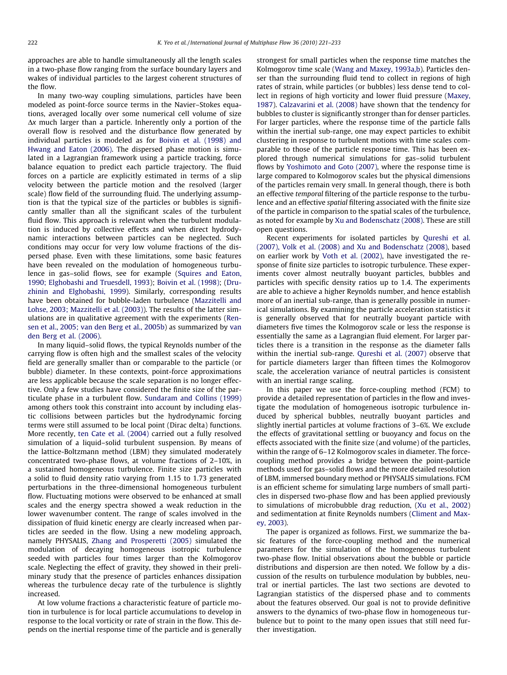approaches are able to handle simultaneously all the length scales in a two-phase flow ranging from the surface boundary layers and wakes of individual particles to the largest coherent structures of the flow.

In many two-way coupling simulations, particles have been modeled as point-force source terms in the Navier–Stokes equations, averaged locally over some numerical cell volume of size  $\Delta x$  much larger than a particle. Inherently only a portion of the overall flow is resolved and the disturbance flow generated by individual particles is modeled as for [Boivin et al. \(1998\) and](#page-11-0) [Hwang and Eaton \(2006\)](#page-11-0). The dispersed phase motion is simulated in a Lagrangian framework using a particle tracking, force balance equation to predict each particle trajectory. The fluid forces on a particle are explicitly estimated in terms of a slip velocity between the particle motion and the resolved (larger scale) flow field of the surrounding fluid. The underlying assumption is that the typical size of the particles or bubbles is significantly smaller than all the significant scales of the turbulent fluid flow. This approach is relevant when the turbulent modulation is induced by collective effects and when direct hydrodynamic interactions between particles can be neglected. Such conditions may occur for very low volume fractions of the dispersed phase. Even with these limitations, some basic features have been revealed on the modulation of homogeneous turbulence in gas–solid flows, see for example [\(Squires and Eaton,](#page-12-0) [1990; Elghobashi and Truesdell, 1993](#page-12-0)); [Boivin et al. \(1998\);](#page-11-0) [\(Dru](#page-12-0)[zhinin and Elghobashi, 1999](#page-12-0)). Similarly, corresponding results have been obtained for bubble-laden turbulence ([Mazzitelli and](#page-12-0) [Lohse, 2003; Mazzitelli et al. \(2003\)](#page-12-0)). The results of the latter simulations are in qualitative agreement with the experiments [\(Ren](#page-12-0)[sen et al., 2005; van den Berg et al., 2005b](#page-12-0)) as summarized by [van](#page-12-0) [den Berg et al. \(2006\)](#page-12-0).

In many liquid–solid flows, the typical Reynolds number of the carrying flow is often high and the smallest scales of the velocity field are generally smaller than or comparable to the particle (or bubble) diameter. In these contexts, point-force approximations are less applicable because the scale separation is no longer effective. Only a few studies have considered the finite size of the particulate phase in a turbulent flow. [Sundaram and Collins \(1999\)](#page-12-0) among others took this constraint into account by including elastic collisions between particles but the hydrodynamic forcing terms were still assumed to be local point (Dirac delta) functions. More recently, [ten Cate et al. \(2004\)](#page-12-0) carried out a fully resolved simulation of a liquid–solid turbulent suspension. By means of the lattice-Boltzmann method (LBM) they simulated moderately concentrated two-phase flows, at volume fractions of 2–10%, in a sustained homogeneous turbulence. Finite size particles with a solid to fluid density ratio varying from 1.15 to 1.73 generated perturbations in the three-dimensional homogeneous turbulent flow. Fluctuating motions were observed to be enhanced at small scales and the energy spectra showed a weak reduction in the lower wavenumber content. The range of scales involved in the dissipation of fluid kinetic energy are clearly increased when particles are seeded in the flow. Using a new modeling approach, namely PHYSALIS, [Zhang and Prosperetti \(2005\)](#page-12-0) simulated the modulation of decaying homogeneous isotropic turbulence seeded with particles four times larger than the Kolmogorov scale. Neglecting the effect of gravity, they showed in their preliminary study that the presence of particles enhances dissipation whereas the turbulence decay rate of the turbulence is slightly increased.

At low volume fractions a characteristic feature of particle motion in turbulence is for local particle accumulations to develop in response to the local vorticity or rate of strain in the flow. This depends on the inertial response time of the particle and is generally

strongest for small particles when the response time matches the Kolmogorov time scale ([Wang and Maxey, 1993a,b\)](#page-12-0). Particles denser than the surrounding fluid tend to collect in regions of high rates of strain, while particles (or bubbles) less dense tend to collect in regions of high vorticity and lower fluid pressure ([Maxey,](#page-12-0) [1987\)](#page-12-0). [Calzavarini et al. \(2008\)](#page-11-0) have shown that the tendency for bubbles to cluster is significantly stronger than for denser particles. For larger particles, where the response time of the particle falls within the inertial sub-range, one may expect particles to exhibit clustering in response to turbulent motions with time scales comparable to those of the particle response time. This has been explored through numerical simulations for gas–solid turbulent flows by [Yoshimoto and Goto \(2007\)](#page-12-0), where the response time is large compared to Kolmogorov scales but the physical dimensions of the particles remain very small. In general though, there is both an effective temporal filtering of the particle response to the turbulence and an effective spatial filtering associated with the finite size of the particle in comparison to the spatial scales of the turbulence, as noted for example by [Xu and Bodenschatz \(2008\).](#page-12-0) These are still open questions.

Recent experiments for isolated particles by [Qureshi et al.](#page-12-0) [\(2007\), Volk et al. \(2008\) and Xu and Bodenschatz \(2008\),](#page-12-0) based on earlier work by [Voth et al. \(2002\)](#page-12-0), have investigated the response of finite size particles to isotropic turbulence. These experiments cover almost neutrally buoyant particles, bubbles and particles with specific density ratios up to 1.4. The experiments are able to achieve a higher Reynolds number, and hence establish more of an inertial sub-range, than is generally possible in numerical simulations. By examining the particle acceleration statistics it is generally observed that for neutrally buoyant particle with diameters five times the Kolmogorov scale or less the response is essentially the same as a Lagrangian fluid element. For larger particles there is a transition in the response as the diameter falls within the inertial sub-range. [Qureshi et al. \(2007\)](#page-12-0) observe that for particle diameters larger than fifteen times the Kolmogorov scale, the acceleration variance of neutral particles is consistent with an inertial range scaling.

In this paper we use the force-coupling method (FCM) to provide a detailed representation of particles in the flow and investigate the modulation of homogeneous isotropic turbulence induced by spherical bubbles, neutrally buoyant particles and slightly inertial particles at volume fractions of 3–6%. We exclude the effects of gravitational settling or buoyancy and focus on the effects associated with the finite size (and volume) of the particles, within the range of 6–12 Kolmogorov scales in diameter. The forcecoupling method provides a bridge between the point-particle methods used for gas–solid flows and the more detailed resolution of LBM, immersed boundary method or PHYSALIS simulations. FCM is an efficient scheme for simulating large numbers of small particles in dispersed two-phase flow and has been applied previously to simulations of microbubble drag reduction, ([Xu et al., 2002\)](#page-12-0) and sedimentation at finite Reynolds numbers ([Climent and Max](#page-11-0)[ey, 2003\)](#page-11-0).

The paper is organized as follows. First, we summarize the basic features of the force-coupling method and the numerical parameters for the simulation of the homogeneous turbulent two-phase flow. Initial observations about the bubble or particle distributions and dispersion are then noted. We follow by a discussion of the results on turbulence modulation by bubbles, neutral or inertial particles. The last two sections are devoted to Lagrangian statistics of the dispersed phase and to comments about the features observed. Our goal is not to provide definitive answers to the dynamics of two-phase flow in homogeneous turbulence but to point to the many open issues that still need further investigation.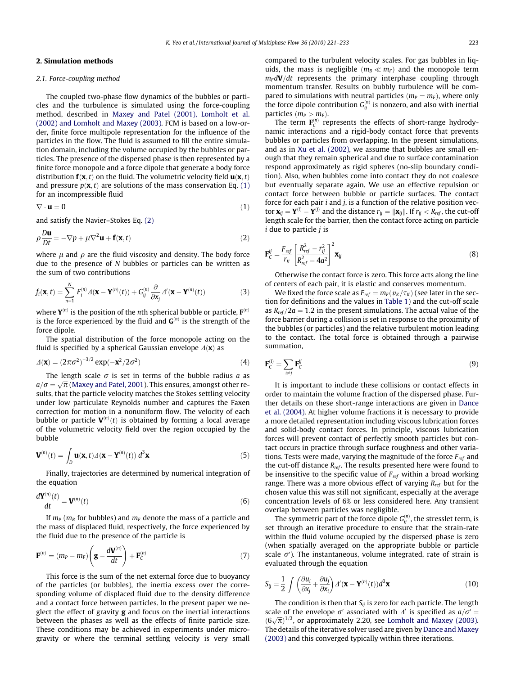# <span id="page-2-0"></span>2. Simulation methods

#### 2.1. Force-coupling method

The coupled two-phase flow dynamics of the bubbles or particles and the turbulence is simulated using the force-coupling method, described in [Maxey and Patel \(2001\), Lomholt et al.](#page-12-0) [\(2002\) and Lomholt and Maxey \(2003\).](#page-12-0) FCM is based on a low-order, finite force multipole representation for the influence of the particles in the flow. The fluid is assumed to fill the entire simulation domain, including the volume occupied by the bubbles or particles. The presence of the dispersed phase is then represented by a finite force monopole and a force dipole that generate a body force distribution  $f(x, t)$  on the fluid. The volumetric velocity field  $u(x, t)$ and pressure  $p(\mathbf{x},t)$  are solutions of the mass conservation Eq. (1) for an incompressible fluid

$$
\nabla \cdot \mathbf{u} = 0 \tag{1}
$$

and satisfy the Navier–Stokes Eq. (2)

$$
\rho \frac{D\mathbf{u}}{Dt} = -\nabla p + \mu \nabla^2 \mathbf{u} + \mathbf{f}(\mathbf{x}, t)
$$
\n(2)

where  $\mu$  and  $\rho$  are the fluid viscosity and density. The body force due to the presence of N bubbles or particles can be written as the sum of two contributions

$$
f_i(\mathbf{x},t) = \sum_{n=1}^N F_i^{(n)} \Delta(\mathbf{x} - \mathbf{Y}^{(n)}(t)) + G_{ij}^{(n)} \frac{\partial}{\partial x_j} \Delta'(\mathbf{x} - \mathbf{Y}^{(n)}(t))
$$
(3)

where  $Y^{(n)}$  is the position of the nth spherical bubble or particle,  $F^{(n)}$ is the force experienced by the fluid and  $G^{(n)}$  is the strength of the force dipole.

The spatial distribution of the force monopole acting on the fluid is specified by a spherical Gaussian envelope  $\Delta(\mathbf{x})$  as

$$
\Delta(\mathbf{x}) = (2\pi\sigma^2)^{-3/2} \exp(-\mathbf{x}^2/2\sigma^2)
$$
\n(4)

The length scale  $\sigma$  is set in terms of the bubble radius a as  $a/\sigma = \sqrt{\pi}$  ([Maxey and Patel, 2001\)](#page-12-0). This ensures, amongst other results, that the particle velocity matches the Stokes settling velocity under low particulate Reynolds number and captures the Faxen correction for motion in a nonuniform flow. The velocity of each bubble or particle  $\mathbf{V}^{(n)}(t)$  is obtained by forming a local average of the volumetric velocity field over the region occupied by the bubble

$$
\mathbf{V}^{(n)}(t) = \int_{D} \mathbf{u}(\mathbf{x}, t) \Delta(\mathbf{x} - \mathbf{Y}^{(n)}(t)) d^{3} \mathbf{x}
$$
 (5)

Finally, trajectories are determined by numerical integration of the equation

$$
\frac{d\mathbf{Y}^{(n)}(t)}{dt} = \mathbf{V}^{(n)}(t) \tag{6}
$$

If  $m_P$  ( $m_B$  for bubbles) and  $m_F$  denote the mass of a particle and the mass of displaced fluid, respectively, the force experienced by the fluid due to the presence of the particle is

$$
\mathbf{F}^{(n)} = (m_P - m_F) \left( \mathbf{g} - \frac{d\mathbf{V}^{(n)}}{dt} \right) + \mathbf{F}_C^{(n)}
$$
(7)

This force is the sum of the net external force due to buoyancy of the particles (or bubbles), the inertia excess over the corresponding volume of displaced fluid due to the density difference and a contact force between particles. In the present paper we neglect the effect of gravity g and focus on the inertial interactions between the phases as well as the effects of finite particle size. These conditions may be achieved in experiments under microgravity or where the terminal settling velocity is very small

The term  $\mathbf{F}_{\mathcal{C}}^{(n)}$  represents the effects of short-range hydrodynamic interactions and a rigid-body contact force that prevents bubbles or particles from overlapping. In the present simulations, and as in [Xu et al. \(2002\)](#page-12-0), we assume that bubbles are small enough that they remain spherical and due to surface contamination respond approximately as rigid spheres (no-slip boundary condition). Also, when bubbles come into contact they do not coalesce but eventually separate again. We use an effective repulsion or contact force between bubble or particle surfaces. The contact force for each pair  $i$  and  $j$ , is a function of the relative position vector  $\mathbf{x}_{ij} = \mathbf{Y}^{(i)} - \mathbf{Y}^{(j)}$  and the distance  $r_{ij} = ||\mathbf{x}_{ij}||$ . If  $r_{ij} < R_{ref}$ , the cut-off length scale for the barrier, then the contact force acting on particle  $i$  due to particle  $j$  is

$$
\mathbf{F}_{C}^{ij} = \frac{F_{ref}}{r_{ij}} \left[ \frac{R_{ref}^{2} - r_{ij}^{2}}{R_{ref}^{2} - 4a^{2}} \right]^{2} \mathbf{x}_{ij}
$$
\n(8)

Otherwise the contact force is zero. This force acts along the line of centers of each pair, it is elastic and conserves momentum.

We fixed the force scale as  $F_{ref} = m_F (v_K / \tau_K)$  (see later in the section for definitions and the values in [Table 1\)](#page-3-0) and the cut-off scale as  $R_{ref}/2a = 1.2$  in the present simulations. The actual value of the force barrier during a collision is set in response to the proximity of the bubbles (or particles) and the relative turbulent motion leading to the contact. The total force is obtained through a pairwise summation,

$$
\mathbf{F}_C^{(i)} = \sum_{i \neq j} \mathbf{F}_C^{ij} \tag{9}
$$

It is important to include these collisions or contact effects in order to maintain the volume fraction of the dispersed phase. Further details on these short-range interactions are given in [Dance](#page-11-0) [et al. \(2004\).](#page-11-0) At higher volume fractions it is necessary to provide a more detailed representation including viscous lubrication forces and solid-body contact forces. In principle, viscous lubrication forces will prevent contact of perfectly smooth particles but contact occurs in practice through surface roughness and other variations. Tests were made, varying the magnitude of the force  $F_{ref}$  and the cut-off distance  $R_{ref}$ . The results presented here were found to be insensitive to the specific value of  $F_{ref}$  within a broad working range. There was a more obvious effect of varying  $R_{ref}$  but for the chosen value this was still not significant, especially at the average concentration levels of 6% or less considered here. Any transient overlap between particles was negligible.

The symmetric part of the force dipole  $G_{ij}^{(n)}$ , the stresslet term, is set through an iterative procedure to ensure that the strain-rate within the fluid volume occupied by the dispersed phase is zero (when spatially averaged on the appropriate bubble or particle scale  $\sigma'$ ). The instantaneous, volume integrated, rate of strain is evaluated through the equation

$$
S_{ij} = \frac{1}{2} \int \left( \frac{\partial u_i}{\partial x_j} + \frac{\partial u_j}{\partial x_i} \right) \Delta'(\mathbf{x} - \mathbf{Y}^{(n)}(t)) d^3 \mathbf{x}
$$
 (10)

The condition is then that  $S_{ij}$  is zero for each particle. The length scale of the envelope  $\sigma'$  associated with  $\Delta'$  is specified as  $a/\sigma'$  =  $(6\sqrt{\pi})^{1/3}$ , or approximately 2.20, see [Lomholt and Maxey \(2003\).](#page-12-0) The details of the iterative solver used are given by [Dance and Maxey](#page-12-0) [\(2003\)](#page-12-0) and this converged typically within three iterations.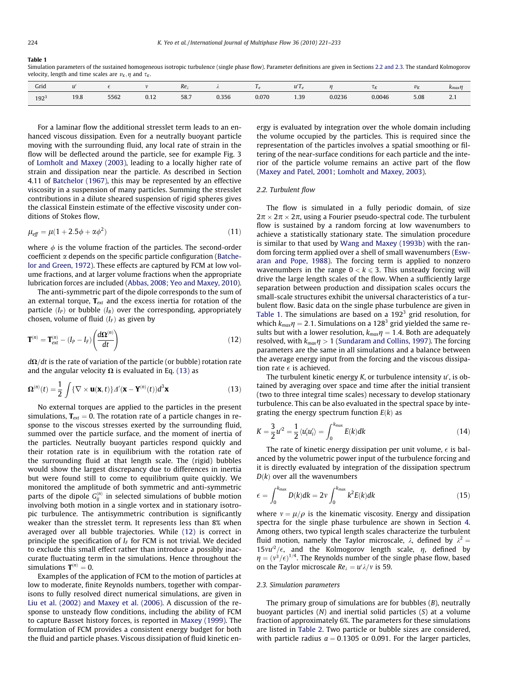#### <span id="page-3-0"></span>Table 1

Simulation parameters of the sustained homogeneous isotropic turbulence (single phase flow). Parameter definitions are given in Sections 2.2 and 2.3. The standard Kolmogorov velocity, length and time scales are  $v_K$ ,  $\eta$  and  $\tau_K$ .

| Grid      | u    |      |      | $Re_{\lambda}$ |       | <b>COLUMN</b> | $1 - 1$<br>u <sub>1</sub> |        |        | $v_{K}$ | $k_{max}$                |
|-----------|------|------|------|----------------|-------|---------------|---------------------------|--------|--------|---------|--------------------------|
| $192^{3}$ | 19.8 | 5562 | 0.12 | 58.7           | 0.356 | 0.070         | 1.39                      | 0.0236 | 0.0046 | 5.08    | $\sim$<br>$\sim \cdot$ 1 |

For a laminar flow the additional stresslet term leads to an enhanced viscous dissipation. Even for a neutrally buoyant particle moving with the surrounding fluid, any local rate of strain in the flow will be deflected around the particle, see for example Fig. 3 of [Lomholt and Maxey \(2003\)](#page-12-0), leading to a locally higher rate of strain and dissipation near the particle. As described in Section 4.11 of [Batchelor \(1967\)](#page-11-0), this may be represented by an effective viscosity in a suspension of many particles. Summing the stresslet contributions in a dilute sheared suspension of rigid spheres gives the classical Einstein estimate of the effective viscosity under conditions of Stokes flow,

$$
\mu_{\text{eff}} = \mu(1 + 2.5\phi + \alpha\phi^2) \tag{11}
$$

where  $\phi$  is the volume fraction of the particles. The second-order coefficient  $\alpha$  depends on the specific particle configuration [\(Batche](#page-11-0)[lor and Green, 1972\)](#page-11-0). These effects are captured by FCM at low volume fractions, and at larger volume fractions when the appropriate lubrication forces are included [\(Abbas, 2008; Yeo and Maxey, 2010\)](#page-11-0).

The anti-symmetric part of the dipole corresponds to the sum of an external torque,  $T_{ext}$  and the excess inertia for rotation of the particle  $(I_P)$  or bubble  $(I_B)$  over the corresponding, appropriately chosen, volume of fluid  $(I_F)$  as given by

$$
\mathbf{T}^{(n)} = \mathbf{T}_{\text{ext}}^{(n)} - (I_P - I_F) \left( \frac{d\mathbf{\Omega}^{(n)}}{dt} \right)
$$
 (12)

 $d\Omega/dt$  is the rate of variation of the particle (or bubble) rotation rate and the angular velocity  $\Omega$  is evaluated in Eq. (13) as

$$
\Omega^{(n)}(t) = \frac{1}{2} \int {\nabla \times \mathbf{u}(\mathbf{x},t)} {\Delta}'(\mathbf{x} - \mathbf{Y}^{(n)}(t)) d^3 \mathbf{x}
$$
 (13)

No external torques are applied to the particles in the present simulations,  $T_{ext} = 0$ . The rotation rate of a particle changes in response to the viscous stresses exerted by the surrounding fluid, summed over the particle surface, and the moment of inertia of the particles. Neutrally buoyant particles respond quickly and their rotation rate is in equilibrium with the rotation rate of the surrounding fluid at that length scale. The (rigid) bubbles would show the largest discrepancy due to differences in inertia but were found still to come to equilibrium quite quickly. We monitored the amplitude of both symmetric and anti-symmetric parts of the dipole  $G_{ij}^{(n)}$  in selected simulations of bubble motion involving both motion in a single vortex and in stationary isotropic turbulence. The antisymmetric contribution is significantly weaker than the stresslet term. It represents less than 8% when averaged over all bubble trajectories. While (12) is correct in principle the specification of  $I_F$  for FCM is not trivial. We decided to exclude this small effect rather than introduce a possibly inaccurate fluctuating term in the simulations. Hence throughout the simulations  $\mathbf{T}^{(n)} = 0$ .

Examples of the application of FCM to the motion of particles at low to moderate, finite Reynolds numbers, together with comparisons to fully resolved direct numerical simulations, are given in [Liu et al. \(2002\) and Maxey et al. \(2006\).](#page-12-0) A discussion of the response to unsteady flow conditions, including the ability of FCM to capture Basset history forces, is reported in [Maxey \(1999\)](#page-12-0). The formulation of FCM provides a consistent energy budget for both the fluid and particle phases. Viscous dissipation of fluid kinetic energy is evaluated by integration over the whole domain including the volume occupied by the particles. This is required since the representation of the particles involves a spatial smoothing or filtering of the near-surface conditions for each particle and the interior of the particle volume remains an active part of the flow ([Maxey and Patel, 2001; Lomholt and Maxey, 2003](#page-12-0)).

#### 2.2. Turbulent flow

The flow is simulated in a fully periodic domain, of size  $2\pi \times 2\pi \times 2\pi$ , using a Fourier pseudo-spectral code. The turbulent flow is sustained by a random forcing at low wavenumbers to achieve a statistically stationary state. The simulation procedure is similar to that used by [Wang and Maxey \(1993b\)](#page-12-0) with the random forcing term applied over a shell of small wavenumbers [\(Esw](#page-12-0)[aran and Pope, 1988](#page-12-0)). The forcing term is applied to nonzero wavenumbers in the range  $0 < k \le 3$ . This unsteady forcing will drive the large length scales of the flow. When a sufficiently large separation between production and dissipation scales occurs the small-scale structures exhibit the universal characteristics of a turbulent flow. Basic data on the single phase turbulence are given in Table 1. The simulations are based on a  $192<sup>3</sup>$  grid resolution, for which  $k_{max}$  $\eta = 2.1$ . Simulations on a 128<sup>3</sup> grid yielded the same results but with a lower resolution,  $k_{max} \eta = 1.4$ . Both are adequately resolved, with  $k_{max} \eta > 1$  ([Sundaram and Collins, 1997](#page-12-0)). The forcing parameters are the same in all simulations and a balance between the average energy input from the forcing and the viscous dissipation rate  $\epsilon$  is achieved.

The turbulent kinetic energy  $K$ , or turbulence intensity  $u'$ , is obtained by averaging over space and time after the initial transient (two to three integral time scales) necessary to develop stationary turbulence. This can be also evaluated in the spectral space by integrating the energy spectrum function  $E(k)$  as

$$
K = \frac{3}{2}u^2 = \frac{1}{2}\langle u_i' u_i' \rangle = \int_0^{k_{\text{max}}} E(k)dk
$$
\n(14)

The rate of kinetic energy dissipation per unit volume,  $\epsilon$  is balanced by the volumetric power input of the turbulence forcing and it is directly evaluated by integration of the dissipation spectrum  $D(k)$  over all the wavenumbers

$$
\epsilon = \int_0^{k_{\text{max}}} D(k)dk = 2\nu \int_0^{k_{\text{max}}} k^2 E(k)dk \tag{15}
$$

where  $v = \mu/\rho$  is the kinematic viscosity. Energy and dissipation spectra for the single phase turbulence are shown in Section [4.](#page-6-0) Among others, two typical length scales characterize the turbulent fluid motion, namely the Taylor microscale,  $\lambda$ , defined by  $\lambda^2 =$  $15vu^2/\epsilon$ , and the Kolmogorov length scale,  $\eta$ , defined by  $\eta = (v^3/\epsilon)^{1/4}$ . The Reynolds number of the single phase flow, based on the Taylor microscale  $Re_{\lambda} = u/\lambda/v$  is 59.

#### 2.3. Simulation parameters

The primary group of simulations are for bubbles  $(B)$ , neutrally buoyant particles (N) and inertial solid particles (S) at a volume fraction of approximately 6%. The parameters for these simulations are listed in [Table 2.](#page-4-0) Two particle or bubble sizes are considered, with particle radius  $a = 0.1305$  or 0.091. For the larger particles,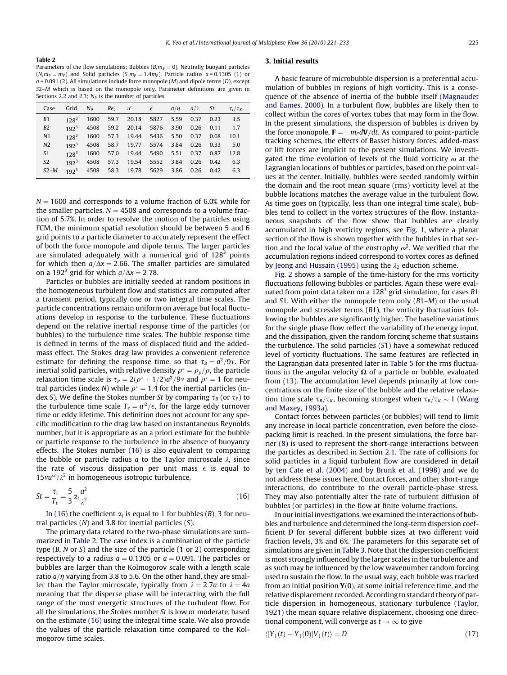<span id="page-4-0"></span>Parameters of the flow simulations: Bubbles ( $B, m_B = 0$ ), Neutrally buoyant particles  $(N, m_P = m_F)$  and Solid particles  $(S, m_P = 1.4 m_F)$ . Particle radius  $\alpha = 0.1305$  (1) or  $a = 0.091$  (2). All simulations include force monopole (*M*) and dipole terms (*D*), except S2–M which is based on the monopole only. Parameter definitions are given in Sections [2.2 and 2.3](#page-3-0);  $N_P$  is the number of particles.

| Case           | Grid             | $N_P$ | Re <sub>2</sub> | u'    | $\epsilon$ | a/n  | $a/\lambda$ St |      | $\tau_i/\tau_K$ |
|----------------|------------------|-------|-----------------|-------|------------|------|----------------|------|-----------------|
| B1             | $128^3$          | 1600  | 59.7            | 20.18 | 5827       | 5.59 | 0.37           | 0.23 | 3.5             |
| B <sub>2</sub> | $192^3$          | 4508  | 59.2            | 20.14 | 5876       | 3.90 | 0.26           | 0.11 | 1.7             |
| N <sub>1</sub> | $128^3$          | 1600  | 57.3            | 19.44 | 5436       | 5.50 | 0.37           | 0.68 | 10.1            |
| N <sub>2</sub> | 192 <sup>3</sup> | 4508  | 58.7            | 19.77 | 5574       | 3.84 | 0.26           | 0.33 | 5.0             |
| S <sub>1</sub> | $128^3$          | 1600  | 57.0            | 19.44 | 5490       | 5.51 | 0.37           | 0.87 | 12.8            |
| S <sub>2</sub> | $192^3$          | 4508  | 57.3            | 19.54 | 5552       | 3.84 | 0.26           | 0.42 | 6.3             |
| $S2-M$         | $192^3$          | 4508  | 58.3            | 19.78 | 5629       | 3.86 | 0.26           | 0.42 | 6.3             |

 $N = 1600$  and corresponds to a volume fraction of 6.0% while for the smaller particles,  $N = 4508$  and corresponds to a volume fraction of 5.7%. In order to resolve the motion of the particles using FCM, the minimum spatial resolution should be between 5 and 6 grid points to a particle diameter to accurately represent the effect of both the force monopole and dipole terms. The larger particles are simulated adequately with a numerical grid of  $128<sup>3</sup>$  points for which then  $a/\Delta x = 2.66$ . The smaller particles are simulated on a 192<sup>3</sup> grid for which  $a/\Delta x = 2.78$ .

Particles or bubbles are initially seeded at random positions in the homogeneous turbulent flow and statistics are computed after a transient period, typically one or two integral time scales. The particle concentrations remain uniform on average but local fluctuations develop in response to the turbulence. These fluctuations depend on the relative inertial response time of the particles (or bubbles) to the turbulence time scales. The bubble response time is defined in terms of the mass of displaced fluid and the addedmass effect. The Stokes drag law provides a convenient reference estimate for defining the response time, so that  $\tau_B = a^2/9v$ . For inertial solid particles, with relative density  $\rho^*=\rho_p/\rho$ , the particle relaxation time scale is  $\tau_P = 2(\rho^* + 1/2)a^2/9v$  and  $\rho^* = 1$  for neutral particles (index N) while  $\rho^* = 1.4$  for the inertial particles (index S). We define the Stokes number St by comparing  $\tau_B$  (or  $\tau_P$ ) to the turbulence time scale  $T_e = u^2/\epsilon$ , for the large eddy turnover time or eddy lifetime. This definition does not account for any specific modification to the drag law based on instantaneous Reynolds number, but it is appropriate as an a priori estimate for the bubble or particle response to the turbulence in the absence of buoyancy effects. The Stokes number (16) is also equivalent to comparing the bubble or particle radius  $a$  to the Taylor microscale  $\lambda$ , since the rate of viscous dissipation per unit mass  $\epsilon$  is equal to  $15vu^2/\lambda^2$  in homogeneous isotropic turbulence,

$$
St = \frac{\tau_i}{T_e} = \frac{5}{3} \alpha_i \frac{a^2}{\lambda^2}
$$
 (16)

In (16) the coefficient  $\alpha_i$  is equal to 1 for bubbles (*B*), 3 for neutral particles (N) and 3.8 for inertial particles (S).

The primary data related to the two-phase simulations are summarized in Table 2. The case index is a combination of the particle type  $(B, N \text{ or } S)$  and the size of the particle  $(1 \text{ or } 2)$  corresponding respectively to a radius  $a = 0.1305$  or  $a = 0.091$ . The particles or bubbles are larger than the Kolmogorov scale with a length scale ratio  $a/\eta$  varying from 3.8 to 5.6. On the other hand, they are smaller than the Taylor microscale, typically from  $\lambda = 2.7a$  to  $\lambda = 4a$ meaning that the disperse phase will be interacting with the full range of the most energetic structures of the turbulent flow. For all the simulations, the Stokes number St is low or moderate, based on the estimate (16) using the integral time scale. We also provide the values of the particle relaxation time compared to the Kolmogorov time scales.

# 3. Initial results

A basic feature of microbubble dispersion is a preferential accumulation of bubbles in regions of high vorticity. This is a consequence of the absence of inertia of the bubble itself ([Magnaudet](#page-12-0) [and Eames, 2000\)](#page-12-0). In a turbulent flow, bubbles are likely then to collect within the cores of vortex tubes that may form in the flow. In the present simulations, the dispersion of bubbles is driven by the force monopole,  $\mathbf{F} = -m_F dV/dt$ . As compared to point-particle tracking schemes, the effects of Basset history forces, added-mass or lift forces are implicit to the present simulations. We investigated the time evolution of levels of the fluid vorticity  $\omega$  at the Lagrangian locations of bubbles or particles, based on the point values at the center. Initially, bubbles were seeded randomly within the domain and the root mean square (rms) vorticity level at the bubble locations matches the average value in the turbulent flow. As time goes on (typically, less than one integral time scale), bubbles tend to collect in the vortex structures of the flow. Instantaneous snapshots of the flow show that bubbles are clearly accumulated in high vorticity regions, see [Fig. 1,](#page-5-0) where a planar section of the flow is shown together with the bubbles in that section and the local value of the enstrophy  $\omega^2$ . We verified that the accumulation regions indeed correspond to vortex cores as defined by [Jeong and Hussain \(1995\)](#page-12-0) using the  $\lambda_2$  eduction scheme.

[Fig. 2](#page-5-0) shows a sample of the time-history for the rms vorticity fluctuations following bubbles or particles. Again these were evaluated from point data taken on a  $128<sup>3</sup>$  grid simulation, for cases B1 and S1. With either the monopole term only  $(B1-M)$  or the usual monopole and stresslet terms (B1), the vorticity fluctuations following the bubbles are significantly higher. The baseline variations for the single phase flow reflect the variability of the energy input, and the dissipation, given the random forcing scheme that sustains the turbulence. The solid particles (S1) have a somewhat reduced level of vorticity fluctuations. The same features are reflected in the Lagrangian data presented later in [Table 5](#page-9-0) for the rms fluctuations in the angular velocity  $\Omega$  of a particle or bubble, evaluated from [\(13\)](#page-3-0). The accumulation level depends primarily at low concentrations on the finite size of the bubble and the relative relaxation time scale  $\tau_B/\tau_K$ , becoming strongest when  $\tau_B/\tau_K \sim 1$  [\(Wang](#page-12-0) [and Maxey, 1993a](#page-12-0)).

Contact forces between particles (or bubbles) will tend to limit any increase in local particle concentration, even before the closepacking limit is reached. In the present simulations, the force barrier [\(8\)](#page-2-0) is used to represent the short-range interactions between the particles as described in Section [2.1](#page-2-0). The rate of collisions for solid particles in a liquid turbulent flow are considered in detail by [ten Cate et al. \(2004\)](#page-12-0) and by [Brunk et al. \(1998\)](#page-11-0) and we do not address these issues here. Contact forces, and other short-range interactions, do contribute to the overall particle-phase stress. They may also potentially alter the rate of turbulent diffusion of bubbles (or particles) in the flow at finite volume fractions.

In our initial investigations, we examined the interactions of bubbles and turbulence and determined the long-term dispersion coefficient D for several different bubble sizes at two different void fraction levels, 3% and 6%. The parameters for this separate set of simulations are given in [Table 3.](#page-5-0) Note that the dispersion coefficient is most strongly influenced by the larger scales in the turbulence and as such may be influenced by the low wavenumber random forcing used to sustain the flow. In the usual way, each bubble was tracked from an initial position  $Y(0)$ , at some initial reference time, and the relative displacement recorded. According to standard theory of particle dispersion in homogeneous, stationary turbulence ([Taylor,](#page-12-0) [1921\)](#page-12-0) the mean square relative displacement, choosing one directional component, will converge as  $t \to \infty$  to give

$$
\langle [Y_1(t) - Y_1(0)]V_1(t) \rangle = D \tag{17}
$$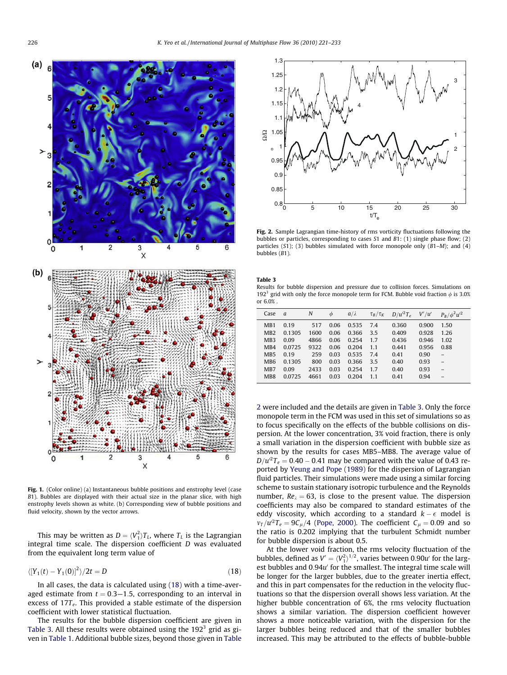<span id="page-5-0"></span>

Fig. 1. (Color online) (a) Instantaneous bubble positions and enstrophy level (case B1). Bubbles are displayed with their actual size in the planar slice, with high enstrophy levels shown as white. (b) Corresponding view of bubble positions and fluid velocity, shown by the vector arrows.

This may be written as  $D = \langle V_1^2 \rangle T_L$ , where  $T_L$  is the Lagrangian integral time scale. The dispersion coefficient D was evaluated from the equivalent long term value of

$$
\langle \left[ Y_1(t) - Y_1(0) \right]^2 \rangle / 2t = D \tag{18}
$$

In all cases, the data is calculated using (18) with a time-averaged estimate from  $t = 0.3 - 1.5$ , corresponding to an interval in excess of  $17T_e$ . This provided a stable estimate of the dispersion coefficient with lower statistical fluctuation.

The results for the bubble dispersion coefficient are given in Table 3. All these results were obtained using the  $192<sup>3</sup>$  grid as given in [Table 1.](#page-3-0) Additional bubble sizes, beyond those given in [Table](#page-4-0)



Fig. 2. Sample Lagrangian time-history of rms vorticity fluctuations following the bubbles or particles, corresponding to cases S1 and B1: (1) single phase flow; (2) particles (S1); (3) bubbles simulated with force monopole only  $(B1-M)$ ; and  $(4)$ bubbles (B1).

Table 3

Results for bubble dispersion and pressure due to collision forces. Simulations on 192<sup>3</sup> grid with only the force monopole term for FCM. Bubble void fraction  $\phi$  is 3.0% or 6.0% .

| Case             | a      | N    | φ    | $a/\lambda$ | $\tau_B/\tau_K$ | $D/u'^2T_e$ | V'/u' | $P_{B}/\phi^{2}u^{2}$ |
|------------------|--------|------|------|-------------|-----------------|-------------|-------|-----------------------|
| M <sub>B</sub> 1 | 0.19   | 517  | 0.06 | 0.535       | 74              | 0.360       | 0.900 | 1.50                  |
| M <sub>B</sub> 2 | 0.1305 | 1600 | 0.06 | 0.366       | 3.5             | 0.409       | 0.928 | 1.26                  |
| M <sub>B</sub> 3 | 0.09   | 4866 | 0.06 | 0.254       | 1.7             | 0.436       | 0.946 | 1.02                  |
| M <sub>B</sub> 4 | 0.0725 | 9322 | 0.06 | 0.204       | 1.1             | 0.441       | 0.956 | 0.88                  |
| M <sub>B5</sub>  | 0.19   | 259  | 0.03 | 0.535       | 74              | 0.41        | 0.90  |                       |
| MB <sub>6</sub>  | 0.1305 | 800  | 0.03 | 0.366       | 3.5             | 0.40        | 0.93  |                       |
| M <sub>B</sub> 7 | 0.09   | 2433 | 0.03 | 0.254       | 1.7             | 0.40        | 0.93  |                       |
| MB <sub>8</sub>  | 0.0725 | 4661 | 0.03 | 0.204       | 1.1             | 0.41        | 0.94  |                       |
|                  |        |      |      |             |                 |             |       |                       |

[2](#page-4-0) were included and the details are given in Table 3. Only the force monopole term in the FCM was used in this set of simulations so as to focus specifically on the effects of the bubble collisions on dispersion. At the lower concentration, 3% void fraction, there is only a small variation in the dispersion coefficient with bubble size as shown by the results for cases MB5–MB8. The average value of  $D/u^2T_e = 0.40 - 0.41$  may be compared with the value of 0.43 reported by [Yeung and Pope \(1989\)](#page-12-0) for the dispersion of Lagrangian fluid particles. Their simulations were made using a similar forcing scheme to sustain stationary isotropic turbulence and the Reynolds number,  $Re_{\lambda} = 63$ , is close to the present value. The dispersion coefficients may also be compared to standard estimates of the eddy viscosity, which according to a standard  $k - \epsilon$  model is  $v_T/u^2T_e = 9C_u/4$  [\(Pope, 2000](#page-12-0)). The coefficient  $C_u = 0.09$  and so the ratio is 0.202 implying that the turbulent Schmidt number for bubble dispersion is about 0.5.

At the lower void fraction, the rms velocity fluctuation of the bubbles, defined as  $V' = \langle V_1^2 \rangle^{1/2}$ , varies between 0.90u' for the largest bubbles and 0.94u' for the smallest. The integral time scale will be longer for the larger bubbles, due to the greater inertia effect, and this in part compensates for the reduction in the velocity fluctuations so that the dispersion overall shows less variation. At the higher bubble concentration of 6%, the rms velocity fluctuation shows a similar variation. The dispersion coefficient however shows a more noticeable variation, with the dispersion for the larger bubbles being reduced and that of the smaller bubbles increased. This may be attributed to the effects of bubble-bubble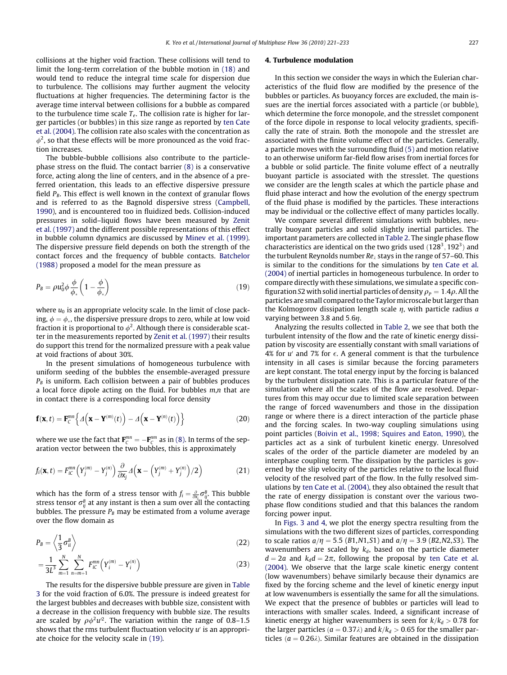<span id="page-6-0"></span>collisions at the higher void fraction. These collisions will tend to limit the long-term correlation of the bubble motion in [\(18\)](#page-5-0) and would tend to reduce the integral time scale for dispersion due to turbulence. The collisions may further augment the velocity fluctuations at higher frequencies. The determining factor is the average time interval between collisions for a bubble as compared to the turbulence time scale  $T_e$ . The collision rate is higher for larger particles (or bubbles) in this size range as reported by [ten Cate](#page-12-0) [et al. \(2004\)](#page-12-0). The collision rate also scales with the concentration as  $\phi^2$ , so that these effects will be more pronounced as the void fraction increases.

The bubble-bubble collisions also contribute to the particlephase stress on the fluid. The contact barrier [\(8\)](#page-2-0) is a conservative force, acting along the line of centers, and in the absence of a preferred orientation, this leads to an effective dispersive pressure field  $P_B$ . This effect is well known in the context of granular flows and is referred to as the Bagnold dispersive stress [\(Campbell,](#page-11-0) [1990\)](#page-11-0), and is encountered too in fluidized beds. Collision-induced pressures in solid–liquid flows have been measured by [Zenit](#page-12-0) [et al. \(1997\)](#page-12-0) and the different possible representations of this effect in bubble column dynamics are discussed by [Minev et al. \(1999\).](#page-12-0) The dispersive pressure field depends on both the strength of the contact forces and the frequency of bubble contacts. [Batchelor](#page-11-0) [\(1988\)](#page-11-0) proposed a model for the mean pressure as

$$
P_B = \rho u_0^2 \phi \frac{\phi}{\phi_*} \left( 1 - \frac{\phi}{\phi_*} \right) \tag{19}
$$

where  $u_0$  is an appropriate velocity scale. In the limit of close packing,  $\phi = \phi_*$ , the dispersive pressure drops to zero, while at low void fraction it is proportional to  $\phi^2$ . Although there is considerable scatter in the measurements reported by [Zenit et al. \(1997\)](#page-12-0) their results do support this trend for the normalized pressure with a peak value at void fractions of about 30%.

In the present simulations of homogeneous turbulence with uniform seeding of the bubbles the ensemble-averaged pressure  $P_B$  is uniform. Each collision between a pair of bubbles produces a local force dipole acting on the fluid. For bubbles  $m,n$  that are in contact there is a corresponding local force density

$$
\mathbf{f}(\mathbf{x},t) = \mathbf{F}_c^{mn} \Big\{ \Delta \Big( \mathbf{x} - \mathbf{Y}^{(m)}(t) \Big) - \Delta \Big( \mathbf{x} - \mathbf{Y}^{(n)}(t) \Big) \Big\}
$$
 (20)

where we use the fact that  $\mathbf{F}_{\mathcal{C}}^{mn}=-\mathbf{F}_{\mathcal{C}}^{nm}$  as in [\(8\)](#page-2-0). In terms of the separation vector between the two bubbles, this is approximately

$$
f_i(\mathbf{x},t) = F_{iC}^{mn} \left( Y_j^{(m)} - Y_j^{(n)} \right) \frac{\partial}{\partial x_j} \Delta \left( \mathbf{x} - \left( Y_j^{(m)} + Y_j^{(n)} \right) / 2 \right)
$$
(21)

which has the form of a stress tensor with  $f_i = \frac{\partial}{\partial x_i} \sigma_{ij}^B$ . This bubble stress tensor  $\sigma_{ij}^{\scriptscriptstyle\mathcal{B}}$  at any instant is then a sum over all the contacting bubbles. The pressure  $P_B$  may be estimated from a volume average over the flow domain as

$$
P_B = \left\langle \frac{1}{3} \sigma_{ii}^B \right\rangle \tag{22}
$$

$$
=\frac{1}{3L^3}\sum_{m=1}^N\sum_{n=m+1}^N F_{iC}^{mn}\Big(Y_i^{(m)}-Y_i^{(n)}\Big) \hspace{1cm} (23)
$$

The results for the dispersive bubble pressure are given in [Table](#page-5-0) [3](#page-5-0) for the void fraction of 6.0%. The pressure is indeed greatest for the largest bubbles and decreases with bubble size, consistent with a decrease in the collision frequency with bubble size. The results are scaled by  $\rho \phi^2 u^{\prime 2}$ . The variation within the range of 0.8–1.5 shows that the rms turbulent fluctuation velocity  $u'$  is an appropriate choice for the velocity scale in (19).

#### 4. Turbulence modulation

In this section we consider the ways in which the Eulerian characteristics of the fluid flow are modified by the presence of the bubbles or particles. As buoyancy forces are excluded, the main issues are the inertial forces associated with a particle (or bubble), which determine the force monopole, and the stresslet component of the force dipole in response to local velocity gradients, specifically the rate of strain. Both the monopole and the stresslet are associated with the finite volume effect of the particles. Generally, a particle moves with the surrounding fluid [\(5\)](#page-2-0) and motion relative to an otherwise uniform far-field flow arises from inertial forces for a bubble or solid particle. The finite volume effect of a neutrally buoyant particle is associated with the stresslet. The questions we consider are the length scales at which the particle phase and fluid phase interact and how the evolution of the energy spectrum of the fluid phase is modified by the particles. These interactions may be individual or the collective effect of many particles locally.

We compare several different simulations with bubbles, neutrally buoyant particles and solid slightly inertial particles. The important parameters are collected in [Table 2.](#page-4-0) The single phase flow characteristics are identical on the two grids used  $(128^3, 192^3)$  and the turbulent Reynolds number  $Re<sub>\lambda</sub>$  stays in the range of 57–60. This is similar to the conditions for the simulations by [ten Cate et al.](#page-12-0) [\(2004\)](#page-12-0) of inertial particles in homogeneous turbulence. In order to compare directly with these simulations, we simulate a specific configuration S2 with solid inertial particles of density  $\rho_{p} = 1.4\rho$ . All the particles are small compared to the Taylor microscale but larger than the Kolmogorov dissipation length scale  $\eta$ , with particle radius a varying between 3.8 and 5.6 $\eta$ .

Analyzing the results collected in [Table 2,](#page-4-0) we see that both the turbulent intensity of the flow and the rate of kinetic energy dissipation by viscosity are essentially constant with small variations of 4% for  $u'$  and 7% for  $\epsilon$ . A general comment is that the turbulence intensity in all cases is similar because the forcing parameters are kept constant. The total energy input by the forcing is balanced by the turbulent dissipation rate. This is a particular feature of the simulation where all the scales of the flow are resolved. Departures from this may occur due to limited scale separation between the range of forced wavenumbers and those in the dissipation range or where there is a direct interaction of the particle phase and the forcing scales. In two-way coupling simulations using point particles ([Boivin et al., 1998; Squires and Eaton, 1990](#page-11-0)), the particles act as a sink of turbulent kinetic energy. Unresolved scales of the order of the particle diameter are modeled by an interphase coupling term. The dissipation by the particles is governed by the slip velocity of the particles relative to the local fluid velocity of the resolved part of the flow. In the fully resolved simulations by [ten Cate et al. \(2004\),](#page-12-0) they also obtained the result that the rate of energy dissipation is constant over the various twophase flow conditions studied and that this balances the random forcing power input.

In [Figs. 3 and 4](#page-7-0), we plot the energy spectra resulting from the simulations with the two different sizes of particles, corresponding to scale ratios  $a/\eta = 5.5$  (B1,N1,S1) and  $a/\eta = 3.9$  (B2,N2,S3). The wavenumbers are scaled by  $k_d$ , based on the particle diameter  $d = 2a$  and  $k_d d = 2\pi$ , following the proposal by [ten Cate et al.](#page-12-0) [\(2004\)](#page-12-0). We observe that the large scale kinetic energy content (low wavenumbers) behave similarly because their dynamics are fixed by the forcing scheme and the level of kinetic energy input at low wavenumbers is essentially the same for all the simulations. We expect that the presence of bubbles or particles will lead to interactions with smaller scales. Indeed, a significant increase of kinetic energy at higher wavenumbers is seen for  $k/k_d > 0.78$  for the larger particles ( $a = 0.37\lambda$ ) and  $k/k_d > 0.65$  for the smaller particles ( $a = 0.26\lambda$ ). Similar features are obtained in the dissipation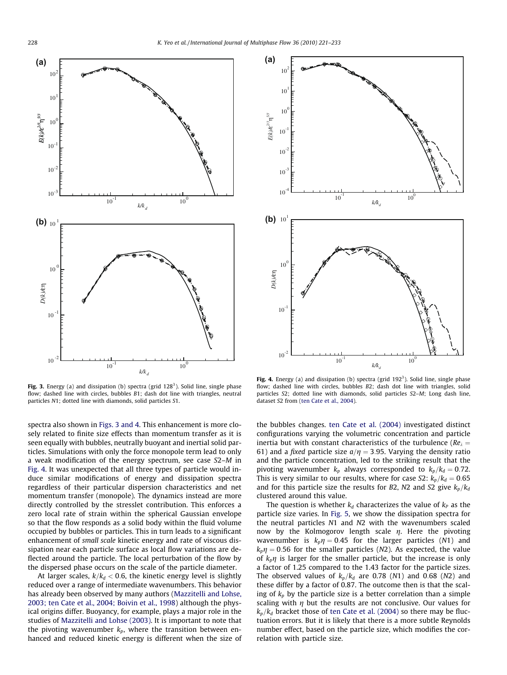<span id="page-7-0"></span>

Fig. 3. Energy (a) and dissipation (b) spectra (grid 128<sup>3</sup>). Solid line, single phase flow; dashed line with circles, bubbles B1; dash dot line with triangles, neutral particles N1; dotted line with diamonds, solid particles S1.

spectra also shown in Figs. 3 and 4. This enhancement is more closely related to finite size effects than momentum transfer as it is seen equally with bubbles, neutrally buoyant and inertial solid particles. Simulations with only the force monopole term lead to only a weak modification of the energy spectrum, see case S2–M in Fig. 4. It was unexpected that all three types of particle would induce similar modifications of energy and dissipation spectra regardless of their particular dispersion characteristics and net momentum transfer (monopole). The dynamics instead are more directly controlled by the stresslet contribution. This enforces a zero local rate of strain within the spherical Gaussian envelope so that the flow responds as a solid body within the fluid volume occupied by bubbles or particles. This in turn leads to a significant enhancement of small scale kinetic energy and rate of viscous dissipation near each particle surface as local flow variations are deflected around the particle. The local perturbation of the flow by the dispersed phase occurs on the scale of the particle diameter.

At larger scales,  $k/k_d < 0.6$ , the kinetic energy level is slightly reduced over a range of intermediate wavenumbers. This behavior has already been observed by many authors [\(Mazzitelli and Lohse,](#page-12-0) [2003; ten Cate et al., 2004; Boivin et al., 1998](#page-12-0)) although the physical origins differ. Buoyancy, for example, plays a major role in the studies of [Mazzitelli and Lohse \(2003\)](#page-12-0). It is important to note that the pivoting wavenumber  $k_p$ , where the transition between enhanced and reduced kinetic energy is different when the size of



Fig. 4. Energy (a) and dissipation (b) spectra (grid  $192<sup>3</sup>$ ). Solid line, single phase flow; dashed line with circles, bubbles B2; dash dot line with triangles, solid particles S2; dotted line with diamonds, solid particles S2–M; Long dash line, dataset S2 from [\(ten Cate et al., 2004](#page-12-0)).

the bubbles changes. [ten Cate et al. \(2004\)](#page-12-0) investigated distinct configurations varying the volumetric concentration and particle inertia but with constant characteristics of the turbulence ( $Re<sub>i</sub>$  = 61) and a *fixed* particle size  $a/\eta = 3.95$ . Varying the density ratio and the particle concentration, led to the striking result that the pivoting wavenumber  $k_p$  always corresponded to  $k_p/k_d = 0.72$ . This is very similar to our results, where for case  $S2$ :  $k_p/k_d = 0.65$ and for this particle size the results for B2, N2 and S2 give  $k_p/k_d$ clustered around this value.

The question is whether  $k_d$  characterizes the value of  $k_P$  as the particle size varies. In [Fig. 5,](#page-8-0) we show the dissipation spectra for the neutral particles N1 and N2 with the wavenumbers scaled now by the Kolmogorov length scale  $\eta$ . Here the pivoting wavenumber is  $k_p \eta = 0.45$  for the larger particles (N1) and  $k_p \eta = 0.56$  for the smaller particles (N2). As expected, the value of  $k_p \eta$  is larger for the smaller particle, but the increase is only a factor of 1.25 compared to the 1.43 factor for the particle sizes. The observed values of  $k_p/k_d$  are 0.78 (N1) and 0.68 (N2) and these differ by a factor of 0.87. The outcome then is that the scaling of  $k_p$  by the particle size is a better correlation than a simple scaling with  $\eta$  but the results are not conclusive. Our values for  $k_p/k_d$  bracket those of [ten Cate et al. \(2004\)](#page-12-0) so there may be fluctuation errors. But it is likely that there is a more subtle Reynolds number effect, based on the particle size, which modifies the correlation with particle size.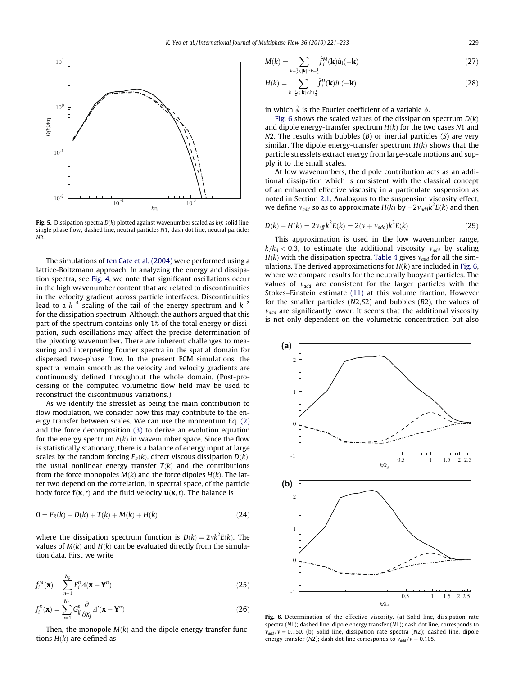<span id="page-8-0"></span>

Fig. 5. Dissipation spectra  $D(k)$  plotted against wavenumber scaled as  $k\eta$ : solid line, single phase flow; dashed line, neutral particles N1; dash dot line, neutral particles N2.

The simulations of [ten Cate et al. \(2004\)](#page-12-0) were performed using a lattice-Boltzmann approach. In analyzing the energy and dissipation spectra, see [Fig. 4](#page-7-0), we note that significant oscillations occur in the high wavenumber content that are related to discontinuities in the velocity gradient across particle interfaces. Discontinuities lead to a  $k^{-4}$  scaling of the tail of the energy spectrum and  $k^{-2}$ for the dissipation spectrum. Although the authors argued that this part of the spectrum contains only 1% of the total energy or dissipation, such oscillations may affect the precise determination of the pivoting wavenumber. There are inherent challenges to measuring and interpreting Fourier spectra in the spatial domain for dispersed two-phase flow. In the present FCM simulations, the spectra remain smooth as the velocity and velocity gradients are continuously defined throughout the whole domain. (Post-processing of the computed volumetric flow field may be used to reconstruct the discontinuous variations.)

As we identify the stresslet as being the main contribution to flow modulation, we consider how this may contribute to the energy transfer between scales. We can use the momentum Eq. [\(2\)](#page-2-0) and the force decomposition [\(3\)](#page-2-0) to derive an evolution equation for the energy spectrum  $E(k)$  in wavenumber space. Since the flow is statistically stationary, there is a balance of energy input at large scales by the random forcing  $F_R(k)$ , direct viscous dissipation  $D(k)$ , the usual nonlinear energy transfer  $T(k)$  and the contributions from the force monopoles  $M(k)$  and the force dipoles  $H(k)$ . The latter two depend on the correlation, in spectral space, of the particle body force  $f(x, t)$  and the fluid velocity  $u(x, t)$ . The balance is

$$
0 = F_R(k) - D(k) + T(k) + M(k) + H(k)
$$
\n(24)

where the dissipation spectrum function is  $D(k) = 2vk^2E(k)$ . The values of  $M(k)$  and  $H(k)$  can be evaluated directly from the simulation data. First we write

$$
f_i^M(\mathbf{x}) = \sum_{n=1}^{N_p} F_i^n \Delta(\mathbf{x} - \mathbf{Y}^n)
$$
 (25)

$$
f_i^D(\mathbf{x}) = \sum_{n=1}^{N_p} G_{ij}^n \frac{\partial}{\partial x_j} \Delta'(\mathbf{x} - \mathbf{Y}^n)
$$
 (26)

Then, the monopole  $M(k)$  and the dipole energy transfer functions  $H(k)$  are defined as

$$
M(k) = \sum_{k-\frac{1}{2} \leq |\mathbf{k}| < k+\frac{1}{2}} \hat{f}_i^M(\mathbf{k}) \hat{u}_i(-\mathbf{k}) \tag{27}
$$

$$
H(k) = \sum_{k-\frac{1}{2} \leq |\mathbf{k}| < k+\frac{1}{2}} \hat{f}_i^D(\mathbf{k}) \hat{u}_i(-\mathbf{k}) \tag{28}
$$

in which  $\hat{\psi}$  is the Fourier coefficient of a variable  $\psi$ .

Fig. 6 shows the scaled values of the dissipation spectrum  $D(k)$ and dipole energy-transfer spectrum  $H(k)$  for the two cases N1 and  $N2$ . The results with bubbles  $(B)$  or inertial particles  $(S)$  are very similar. The dipole energy-transfer spectrum  $H(k)$  shows that the particle stresslets extract energy from large-scale motions and supply it to the small scales.

At low wavenumbers, the dipole contribution acts as an additional dissipation which is consistent with the classical concept of an enhanced effective viscosity in a particulate suspension as noted in Section [2.1.](#page-2-0) Analogous to the suspension viscosity effect, we define  $v_{add}$  so as to approximate  $H(k)$  by  $-2v_{add}k^2E(k)$  and then

$$
D(k) - H(k) = 2v_{\text{eff}}k^2E(k) = 2(v + v_{\text{add}})k^2E(k)
$$
 (29)

This approximation is used in the low wavenumber range,  $k/k_d$  < 0.3, to estimate the additional viscosity  $v_{add}$  by scaling  $H(k)$  with the dissipation spectra. [Table 4](#page-9-0) gives  $v_{add}$  for all the simulations. The derived approximations for  $H(k)$  are included in Fig. 6, where we compare results for the neutrally buoyant particles. The values of  $v_{add}$  are consistent for the larger particles with the Stokes–Einstein estimate [\(11\)](#page-3-0) at this volume fraction. However for the smaller particles (N2,S2) and bubbles (B2), the values of  $v_{add}$  are significantly lower. It seems that the additional viscosity is not only dependent on the volumetric concentration but also



Fig. 6. Determination of the effective viscosity. (a) Solid line, dissipation rate spectra (N1); dashed line, dipole energy transfer (N1); dash dot line, corresponds to  $v_{add}/v = 0.150$ . (b) Solid line, dissipation rate spectra (N2); dashed line, dipole energy transfer (N2); dash dot line corresponds to  $v_{add}/v = 0.105$ .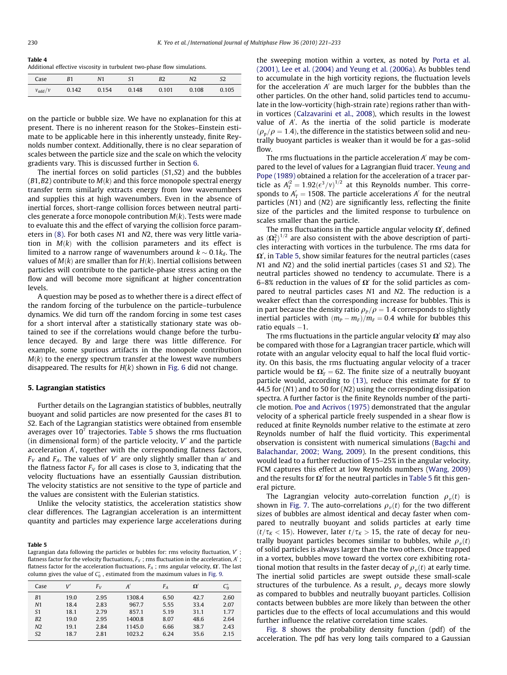#### <span id="page-9-0"></span>Table 4

Additional effective viscosity in turbulent two-phase flow simulations.

| Case        | B1    | N <sub>1</sub> | S <sub>1</sub> | B <sub>2</sub> | N <sub>2</sub> | S2    |
|-------------|-------|----------------|----------------|----------------|----------------|-------|
| $v_{add}/v$ | 0.142 | 0.154          | 0.148          | 0.101          | 0.108          | 0.105 |

on the particle or bubble size. We have no explanation for this at present. There is no inherent reason for the Stokes–Einstein estimate to be applicable here in this inherently unsteady, finite Reynolds number context. Additionally, there is no clear separation of scales between the particle size and the scale on which the velocity gradients vary. This is discussed further in Section [6.](#page-11-0)

The inertial forces on solid particles (S1,S2) and the bubbles  $(B1,B2)$  contribute to  $M(k)$  and this force monopole spectral energy transfer term similarly extracts energy from low wavenumbers and supplies this at high wavenumbers. Even in the absence of inertial forces, short-range collision forces between neutral particles generate a force monopole contribution  $M(k)$ . Tests were made to evaluate this and the effect of varying the collision force parameters in [\(8\).](#page-2-0) For both cases N1 and N2, there was very little variation in  $M(k)$  with the collision parameters and its effect is limited to a narrow range of wavenumbers around  $k \sim 0.1k_d$ . The values of  $M(k)$  are smaller than for  $H(k)$ . Inertial collisions between particles will contribute to the particle-phase stress acting on the flow and will become more significant at higher concentration levels.

A question may be posed as to whether there is a direct effect of the random forcing of the turbulence on the particle–turbulence dynamics. We did turn off the random forcing in some test cases for a short interval after a statistically stationary state was obtained to see if the correlations would change before the turbulence decayed. By and large there was little difference. For example, some spurious artifacts in the monopole contribution  $M(k)$  to the energy spectrum transfer at the lowest wave numbers disappeared. The results for  $H(k)$  shown in [Fig. 6](#page-8-0) did not change.

# 5. Lagrangian statistics

Further details on the Lagrangian statistics of bubbles, neutrally buoyant and solid particles are now presented for the cases B1 to S2. Each of the Lagrangian statistics were obtained from ensemble averages over  $10<sup>7</sup>$  trajectories. Table 5 shows the rms fluctuation (in dimensional form) of the particle velocity,  $V'$  and the particle acceleration A', together with the corresponding flatness factors,  $F_V$  and  $F_A$ . The values of V' are only slightly smaller than u' and the flatness factor  $F_V$  for all cases is close to 3, indicating that the velocity fluctuations have an essentially Gaussian distribution. The velocity statistics are not sensitive to the type of particle and the values are consistent with the Eulerian statistics.

Unlike the velocity statistics, the acceleration statistics show clear differences. The Lagrangian acceleration is an intermittent quantity and particles may experience large accelerations during

# Table 5

Lagrangian data following the particles or bubbles for: rms velocity fluctuation,  $V'$ ; flatness factor for the velocity fluctuations,  $F_V$  ; rms fluctuation in the acceleration,  $A'$  ; flatness factor for the acceleration fluctuations,  $F_A$  ; rms angular velocity,  $\Omega'$ . The last column gives the value of  $C_0^*$  , estimated from the maximum values in [Fig. 9.](#page-10-0)

| 2.60 |
|------|
| 2.07 |
| 1.77 |
| 2.64 |
| 2.43 |
| 2.15 |
|      |

the sweeping motion within a vortex, as noted by [Porta et al.](#page-12-0) [\(2001\), Lee et al. \(2004\) and Yeung et al. \(2006a\).](#page-12-0) As bubbles tend to accumulate in the high vorticity regions, the fluctuation levels for the acceleration  $A'$  are much larger for the bubbles than the other particles. On the other hand, solid particles tend to accumulate in the low-vorticity (high-strain rate) regions rather than within vortices ([Calzavarini et al., 2008\)](#page-11-0), which results in the lowest value of  $A'$ . As the inertia of the solid particle is moderate  $(\rho_n/\rho=1.4)$ , the difference in the statistics between solid and neutrally buoyant particles is weaker than it would be for a gas–solid flow.

The rms fluctuations in the particle acceleration  $A'$  may be compared to the level of values for a Lagrangian fluid tracer. [Yeung and](#page-12-0) [Pope \(1989\)](#page-12-0) obtained a relation for the acceleration of a tracer particle as  $A_T^2 = 1.92(\epsilon^3/\nu)^{1/2}$  at this Reynolds number. This corresponds to  $A'_T = 1508$ . The particle accelerations  $A'$  for the neutral particles (N1) and (N2) are significantly less, reflecting the finite size of the particles and the limited response to turbulence on scales smaller than the particle.

The rms fluctuations in the particle angular velocity  $\Omega'$ , defined as  $\langle \Omega_1^2 \rangle^{1/2}$  are also consistent with the above description of particles interacting with vortices in the turbulence. The rms data for  $\Omega'$ , in Table 5, show similar features for the neutral particles (cases N1 and N2) and the solid inertial particles (cases S1 and S2). The neutral particles showed no tendency to accumulate. There is a 6–8% reduction in the values of  $\Omega'$  for the solid particles as compared to neutral particles cases N1 and N2. The reduction is a weaker effect than the corresponding increase for bubbles. This is in part because the density ratio  $\rho_{p}/\rho=1.4$  corresponds to slightly inertial particles with  $(m_P - m_F)/m_F = 0.4$  while for bubbles this ratio equals  $-1$ .

The rms fluctuations in the particle angular velocity  $\Omega'$  may also be compared with those for a Lagrangian tracer particle, which will rotate with an angular velocity equal to half the local fluid vorticity. On this basis, the rms fluctuating angular velocity of a tracer particle would be  $\Omega'_T = 62$ . The finite size of a neutrally buoyant particle would, according to [\(13\)](#page-3-0), reduce this estimate for  $\Omega'$  to 44.5 for (N1) and to 50 for (N2) using the corresponding dissipation spectra. A further factor is the finite Reynolds number of the particle motion. [Poe and Acrivos \(1975\)](#page-12-0) demonstrated that the angular velocity of a spherical particle freely suspended in a shear flow is reduced at finite Reynolds number relative to the estimate at zero Reynolds number of half the fluid vorticity. This experimental observation is consistent with numerical simulations ([Bagchi and](#page-11-0) [Balachandar, 2002; Wang, 2009\)](#page-11-0). In the present conditions, this would lead to a further reduction of 15–25% in the angular velocity. FCM captures this effect at low Reynolds numbers ([Wang, 2009\)](#page-12-0) and the results for  $\Omega'$  for the neutral particles in Table 5 fit this general picture.

The Lagrangian velocity auto-correlation function  $\rho_n(t)$  is shown in [Fig. 7](#page-10-0). The auto-correlations  $\rho_n(t)$  for the two different sizes of bubbles are almost identical and decay faster when compared to neutrally buoyant and solids particles at early time  $(t/\tau_K < 15)$ . However, later  $t/\tau_K > 15$ , the rate of decay for neutrally buoyant particles becomes similar to bubbles, while  $\rho_v(t)$ of solid particles is always larger than the two others. Once trapped in a vortex, bubbles move toward the vortex core exhibiting rotational motion that results in the faster decay of  $\rho_{\nu}(t)$  at early time. The inertial solid particles are swept outside these small-scale structures of the turbulence. As a result,  $\rho_n$  decays more slowly as compared to bubbles and neutrally buoyant particles. Collision contacts between bubbles are more likely than between the other particles due to the effects of local accumulations and this would further influence the relative correlation time scales.

[Fig. 8](#page-10-0) shows the probability density function (pdf) of the acceleration. The pdf has very long tails compared to a Gaussian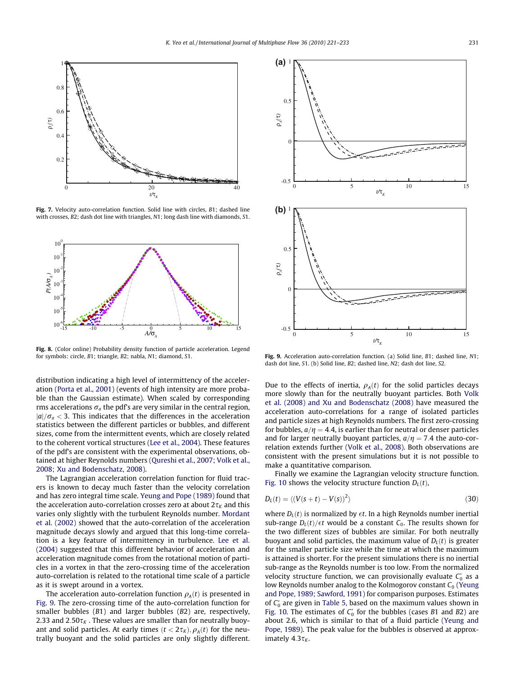<span id="page-10-0"></span>

Fig. 7. Velocity auto-correlation function. Solid line with circles, B1; dashed line with crosses, B2; dash dot line with triangles, N1; long dash line with diamonds, S1.



Fig. 8. (Color online) Probability density function of particle acceleration. Legend for symbols: circle, B1; triangle, B2; nabla, N1; diamond, S1.

distribution indicating a high level of intermittency of the acceleration [\(Porta et al., 2001](#page-12-0)) (events of high intensity are more probable than the Gaussian estimate). When scaled by corresponding rms accelerations  $\sigma_a$  the pdf's are very similar in the central region,  $|a|/\sigma_a$  < 3. This indicates that the differences in the acceleration statistics between the different particles or bubbles, and different sizes, come from the intermittent events, which are closely related to the coherent vortical structures [\(Lee et al., 2004](#page-12-0)). These features of the pdf's are consistent with the experimental observations, obtained at higher Reynolds numbers [\(Qureshi et al., 2007; Volk et al.,](#page-12-0) [2008; Xu and Bodenschatz, 2008\)](#page-12-0).

The Lagrangian acceleration correlation function for fluid tracers is known to decay much faster than the velocity correlation and has zero integral time scale. [Yeung and Pope \(1989\)](#page-12-0) found that the acceleration auto-correlation crosses zero at about  $2\tau_K$  and this varies only slightly with the turbulent Reynolds number. [Mordant](#page-12-0) [et al. \(2002\)](#page-12-0) showed that the auto-correlation of the acceleration magnitude decays slowly and argued that this long-time correlation is a key feature of intermittency in turbulence. [Lee et al.](#page-12-0) [\(2004\)](#page-12-0) suggested that this different behavior of acceleration and acceleration magnitude comes from the rotational motion of particles in a vortex in that the zero-crossing time of the acceleration auto-correlation is related to the rotational time scale of a particle as it is swept around in a vortex.

The acceleration auto-correlation function  $\rho_A(t)$  is presented in Fig. 9. The zero-crossing time of the auto-correlation function for smaller bubbles (B1) and larger bubbles (B2) are, respectively, 2.33 and 2.50 $\tau_K$ . These values are smaller than for neutrally buoyant and solid particles. At early times  $(t < 2\tau_K)$ ,  $\rho_A(t)$  for the neutrally buoyant and the solid particles are only slightly different.



Fig. 9. Acceleration auto-correlation function. (a) Solid line, B1; dashed line, N1; dash dot line, S1. (b) Solid line, B2; dashed line, N2; dash dot line, S2.

Due to the effects of inertia,  $\rho_A(t)$  for the solid particles decays more slowly than for the neutrally buoyant particles. Both [Volk](#page-12-0) [et al. \(2008\) and Xu and Bodenschatz \(2008\)](#page-12-0) have measured the acceleration auto-correlations for a range of isolated particles and particle sizes at high Reynolds numbers. The first zero-crossing for bubbles,  $a/\eta = 4.4$ , is earlier than for neutral or denser particles and for larger neutrally buoyant particles,  $a/\eta = 7.4$  the auto-correlation extends further ([Volk et al., 2008](#page-12-0)). Both observations are consistent with the present simulations but it is not possible to make a quantitative comparison.

Finally we examine the Lagrangian velocity structure function. [Fig. 10](#page-11-0) shows the velocity structure function  $D_L(t)$ ,

$$
D_L(t) = \langle (V(s+t) - V(s))^2 \rangle \tag{30}
$$

where  $D_{L}(t)$  is normalized by  $\epsilon t$ . In a high Reynolds number inertial sub-range  $D_L(t)/\epsilon t$  would be a constant  $C_0$ . The results shown for the two different sizes of bubbles are similar. For both neutrally buoyant and solid particles, the maximum value of  $D<sub>L</sub>(t)$  is greater for the smaller particle size while the time at which the maximum is attained is shorter. For the present simulations there is no inertial sub-range as the Reynolds number is too low. From the normalized velocity structure function, we can provisionally evaluate  $C_0^*$  as a low Reynolds number analog to the Kolmogorov constant  $C_0$  [\(Yeung](#page-12-0) [and Pope, 1989; Sawford, 1991\)](#page-12-0) for comparison purposes. Estimates of  $C_0^*$  are given in [Table 5](#page-9-0), based on the maximum values shown in [Fig. 10.](#page-11-0) The estimates of  $C_0^*$  for the bubbles (cases B1 and B2) are about 2.6, which is similar to that of a fluid particle ([Yeung and](#page-12-0) [Pope, 1989\)](#page-12-0). The peak value for the bubbles is observed at approximately  $4.3\tau_K$ .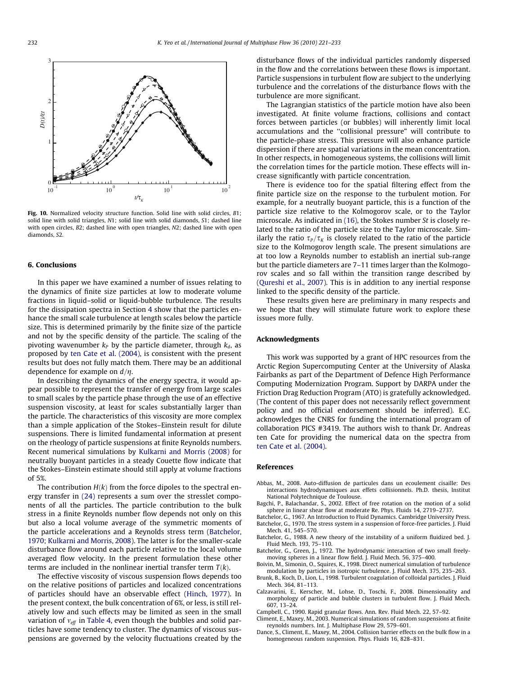<span id="page-11-0"></span>

Fig. 10. Normalized velocity structure function. Solid line with solid circles, B1; solid line with solid triangles, N1; solid line with solid diamonds, S1; dashed line with open circles, B2; dashed line with open triangles, N2; dashed line with open diamonds, S2.

#### 6. Conclusions

In this paper we have examined a number of issues relating to the dynamics of finite size particles at low to moderate volume fractions in liquid–solid or liquid-bubble turbulence. The results for the dissipation spectra in Section [4](#page-6-0) show that the particles enhance the small scale turbulence at length scales below the particle size. This is determined primarily by the finite size of the particle and not by the specific density of the particle. The scaling of the pivoting wavenumber  $k_P$  by the particle diameter, through  $k_d$ , as proposed by [ten Cate et al. \(2004\)](#page-12-0), is consistent with the present results but does not fully match them. There may be an additional dependence for example on  $d/\eta$ .

In describing the dynamics of the energy spectra, it would appear possible to represent the transfer of energy from large scales to small scales by the particle phase through the use of an effective suspension viscosity, at least for scales substantially larger than the particle. The characteristics of this viscosity are more complex than a simple application of the Stokes–Einstein result for dilute suspensions. There is limited fundamental information at present on the rheology of particle suspensions at finite Reynolds numbers. Recent numerical simulations by [Kulkarni and Morris \(2008\)](#page-12-0) for neutrally buoyant particles in a steady Couette flow indicate that the Stokes–Einstein estimate should still apply at volume fractions of 5%.

The contribution  $H(k)$  from the force dipoles to the spectral energy transfer in [\(24\)](#page-8-0) represents a sum over the stresslet components of all the particles. The particle contribution to the bulk stress in a finite Reynolds number flow depends not only on this but also a local volume average of the symmetric moments of the particle accelerations and a Reynolds stress term (Batchelor, 1970; Kulkarni and Morris, 2008). The latter is for the smaller-scale disturbance flow around each particle relative to the local volume averaged flow velocity. In the present formulation these other terms are included in the nonlinear inertial transfer term  $T(k)$ .

The effective viscosity of viscous suspension flows depends too on the relative positions of particles and localized concentrations of particles should have an observable effect [\(Hinch, 1977](#page-12-0)). In the present context, the bulk concentration of 6%, or less, is still relatively low and such effects may be limited as seen in the small variation of  $v_{\text{eff}}$  in [Table 4](#page-9-0), even though the bubbles and solid particles have some tendency to cluster. The dynamics of viscous suspensions are governed by the velocity fluctuations created by the disturbance flows of the individual particles randomly dispersed in the flow and the correlations between these flows is important. Particle suspensions in turbulent flow are subject to the underlying turbulence and the correlations of the disturbance flows with the turbulence are more significant.

The Lagrangian statistics of the particle motion have also been investigated. At finite volume fractions, collisions and contact forces between particles (or bubbles) will inherently limit local accumulations and the ''collisional pressure" will contribute to the particle-phase stress. This pressure will also enhance particle dispersion if there are spatial variations in the mean concentration. In other respects, in homogeneous systems, the collisions will limit the correlation times for the particle motion. These effects will increase significantly with particle concentration.

There is evidence too for the spatial filtering effect from the finite particle size on the response to the turbulent motion. For example, for a neutrally buoyant particle, this is a function of the particle size relative to the Kolmogorov scale, or to the Taylor microscale. As indicated in [\(16\),](#page-4-0) the Stokes number St is closely related to the ratio of the particle size to the Taylor microscale. Similarly the ratio  $\tau_P/\tau_K$  is closely related to the ratio of the particle size to the Kolmogorov length scale. The present simulations are at too low a Reynolds number to establish an inertial sub-range but the particle diameters are 7–11 times larger than the Kolmogorov scales and so fall within the transition range described by ([Qureshi et al., 2007](#page-12-0)). This is in addition to any inertial response linked to the specific density of the particle.

These results given here are preliminary in many respects and we hope that they will stimulate future work to explore these issues more fully.

## Acknowledgments

This work was supported by a grant of HPC resources from the Arctic Region Supercomputing Center at the University of Alaska Fairbanks as part of the Department of Defence High Performance Computing Modernization Program. Support by DARPA under the Friction Drag Reduction Program (ATO) is gratefully acknowledged. (The content of this paper does not necessarily reflect government policy and no official endorsement should be inferred). E.C. acknowledges the CNRS for funding the international program of collaboration PICS #3419. The authors wish to thank Dr. Andreas ten Cate for providing the numerical data on the spectra from [ten Cate et al. \(2004\).](#page-12-0)

#### References

- Abbas, M., 2008. Auto-diffusion de particules dans un ecoulement cisaille: Des interactions hydrodynamiques aux effets collisionnels. Ph.D. thesis, Institut National Polytechnique de Toulouse.
- Bagchi, P., Balachandar, S., 2002. Effect of free rotation on the motion of a solid sphere in linear shear flow at moderate Re. Phys. Fluids 14, 2719–2737.
- Batchelor, G., 1967. An Introduction to Fluid Dynamics. Cambridge University Press. Batchelor, G., 1970. The stress system in a suspension of force-free particles. J. Fluid Mech. 41, 545–570.
- Batchelor, G., 1988. A new theory of the instability of a uniform fluidized bed. J. Fluid Mech. 193, 75–110.
- Batchelor, G., Green, J., 1972. The hydrodynamic interaction of two small freelymoving spheres in a linear flow field. J. Fluid Mech. 56, 375–400.
- Boivin, M., Simonin, O., Squires, K., 1998. Direct numerical simulation of turbulence modulation by particles in isotropic turbulence. J. Fluid Mech. 375, 235–263.
- Brunk, B., Koch, D., Lion, L., 1998. Turbulent coagulation of colloidal particles. J. Fluid Mech. 364, 81–113.
- Calzavarini, E., Kerscher, M., Lohse, D., Toschi, F., 2008. Dimensionality and morphology of particle and bubble clusters in turbulent flow. J. Fluid Mech. 607, 13–24.
- Campbell, C., 1990. Rapid granular flows. Ann. Rev. Fluid Mech. 22, 57–92.
- Climent, E., Maxey, M., 2003. Numerical simulations of random suspensions at finite reynolds numbers. Int. J. Multiphase Flow 29, 579–601.
- Dance, S., Climent, E., Maxey, M., 2004. Collision barrier effects on the bulk flow in a homogeneous random suspension. Phys. Fluids 16, 828–831.